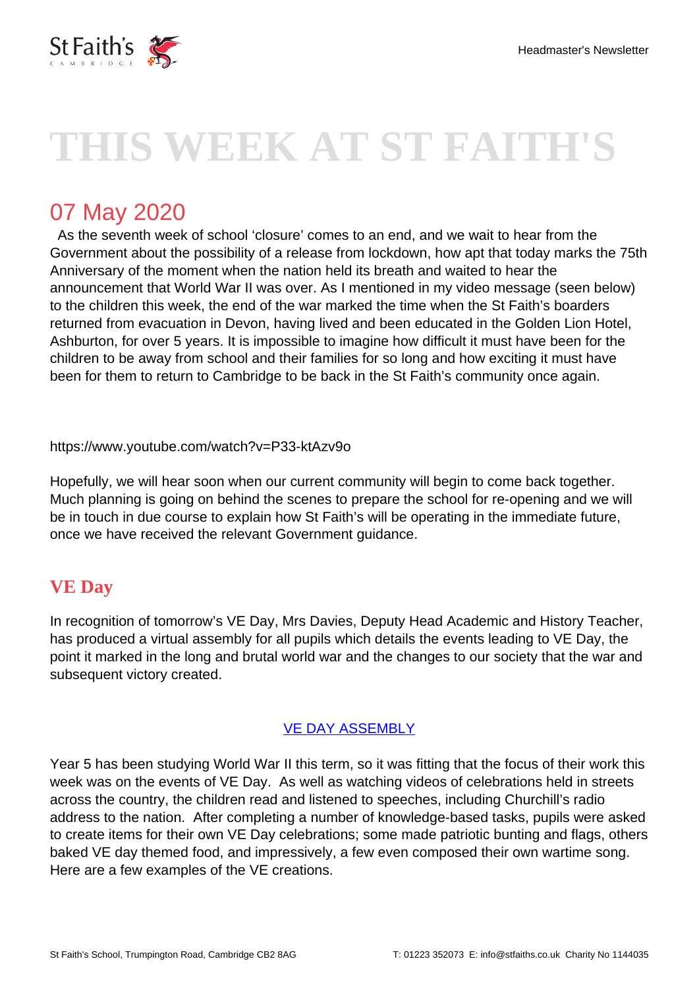

# **THIS WEEK AT ST FAITH'S**

# 07 May 2020

 As the seventh week of school 'closure' comes to an end, and we wait to hear from the Government about the possibility of a release from lockdown, how apt that today marks the 75th Anniversary of the moment when the nation held its breath and waited to hear the announcement that World War II was over. As I mentioned in my video message (seen below) to the children this week, the end of the war marked the time when the St Faith's boarders returned from evacuation in Devon, having lived and been educated in the Golden Lion Hotel, Ashburton, for over 5 years. It is impossible to imagine how difficult it must have been for the children to be away from school and their families for so long and how exciting it must have been for them to return to Cambridge to be back in the St Faith's community once again.

https://www.youtube.com/watch?v=P33-ktAzv9o

Hopefully, we will hear soon when our current community will begin to come back together. Much planning is going on behind the scenes to prepare the school for re-opening and we will be in touch in due course to explain how St Faith's will be operating in the immediate future, once we have received the relevant Government guidance.

# **VE Day**

In recognition of tomorrow's VE Day, Mrs Davies, Deputy Head Academic and History Teacher, has produced a virtual assembly for all pupils which details the events leading to VE Day, the point it marked in the long and brutal world war and the changes to our society that the war and subsequent victory created.

#### [VE DAY ASSEMBLY](https://i.stfaiths.co.uk/)

Year 5 has been studying World War II this term, so it was fitting that the focus of their work this week was on the events of VE Day. As well as watching videos of celebrations held in streets across the country, the children read and listened to speeches, including Churchill's radio address to the nation. After completing a number of knowledge-based tasks, pupils were asked to create items for their own VE Day celebrations; some made patriotic bunting and flags, others baked VE day themed food, and impressively, a few even composed their own wartime song. Here are a few examples of the VE creations.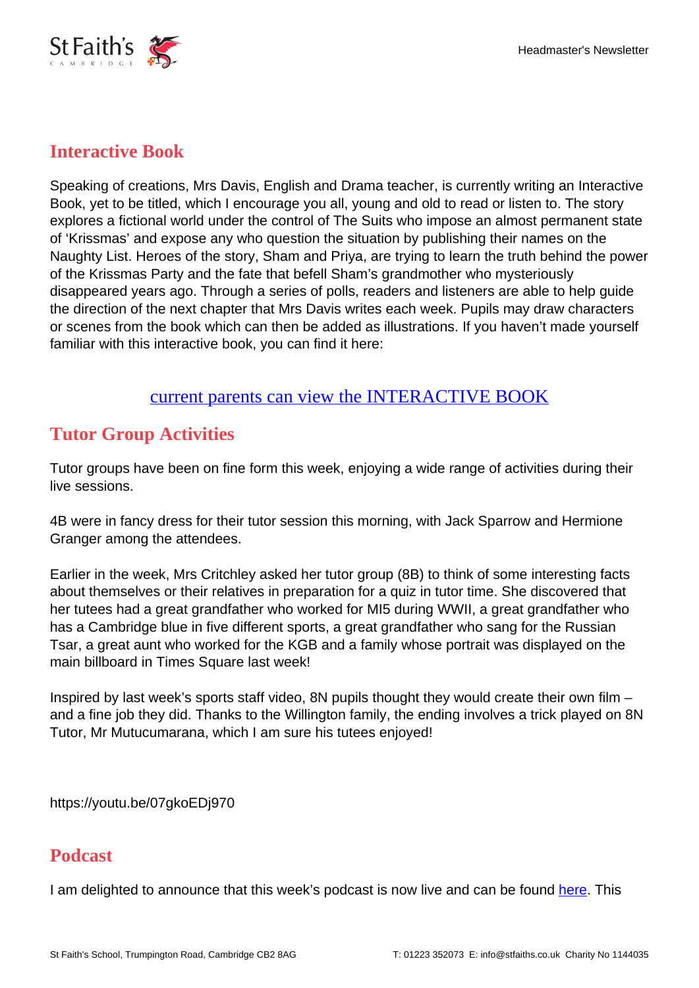

#### **Interactive Book**

Speaking of creations, Mrs Davis, English and Drama teacher, is currently writing an Interactive Book, yet to be titled, which I encourage you all, young and old to read or listen to. The story explores a fictional world under the control of The Suits who impose an almost permanent state of 'Krissmas' and expose any who question the situation by publishing their names on the Naughty List. Heroes of the story, Sham and Priya, are trying to learn the truth behind the power of the Krissmas Party and the fate that befell Sham's grandmother who mysteriously disappeared years ago. Through a series of polls, readers and listeners are able to help guide the direction of the next chapter that Mrs Davis writes each week. Pupils may draw characters or scenes from the book which can then be added as illustrations. If you haven't made yourself familiar with this interactive book, you can find it here:

#### [current parents can view the INTERACTIVE BOOK](https://i.stfaiths.co.uk/library/interactive-book)

# **Tutor Group Activities**

Tutor groups have been on fine form this week, enjoying a wide range of activities during their live sessions.

4B were in fancy dress for their tutor session this morning, with Jack Sparrow and Hermione Granger among the attendees.

Earlier in the week, Mrs Critchley asked her tutor group (8B) to think of some interesting facts about themselves or their relatives in preparation for a quiz in tutor time. She discovered that her tutees had a great grandfather who worked for MI5 during WWII, a great grandfather who has a Cambridge blue in five different sports, a great grandfather who sang for the Russian Tsar, a great aunt who worked for the KGB and a family whose portrait was displayed on the main billboard in Times Square last week!

Inspired by last week's sports staff video, 8N pupils thought they would create their own film – and a fine job they did. Thanks to the Willington family, the ending involves a trick played on 8N Tutor, Mr Mutucumarana, which I am sure his tutees enjoyed!

https://youtu.be/07gkoEDj970

## **Podcast**

I am delighted to announce that this week's podcast is now live and can be found [here](https://i.stfaiths.co.uk/welcome-to-our-virtual-community/mr-goricks-podcast). This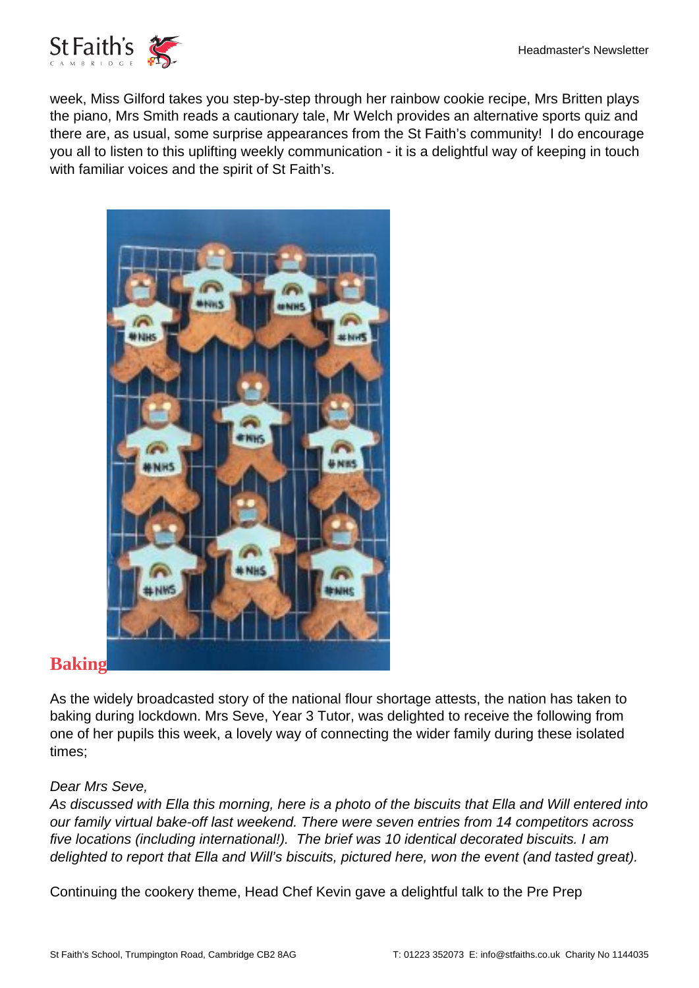

week, Miss Gilford takes you step-by-step through her rainbow cookie recipe, Mrs Britten plays the piano, Mrs Smith reads a cautionary tale, Mr Welch provides an alternative sports quiz and there are, as usual, some surprise appearances from the St Faith's community! I do encourage you all to listen to this uplifting weekly communication - it is a delightful way of keeping in touch with familiar voices and the spirit of St Faith's.



#### As the widely broadcasted story of the national flour shortage attests, the nation has taken to baking during lockdown. Mrs Seve, Year 3 Tutor, was delighted to receive the following from one of her pupils this week, a lovely way of connecting the wider family during these isolated times;

#### Dear Mrs Seve,

As discussed with Ella this morning, here is a photo of the biscuits that Ella and Will entered into our family virtual bake-off last weekend. There were seven entries from 14 competitors across five locations (including international!). The brief was 10 identical decorated biscuits. I am delighted to report that Ella and Will's biscuits, pictured here, won the event (and tasted great).

Continuing the cookery theme, Head Chef Kevin gave a delightful talk to the Pre Prep